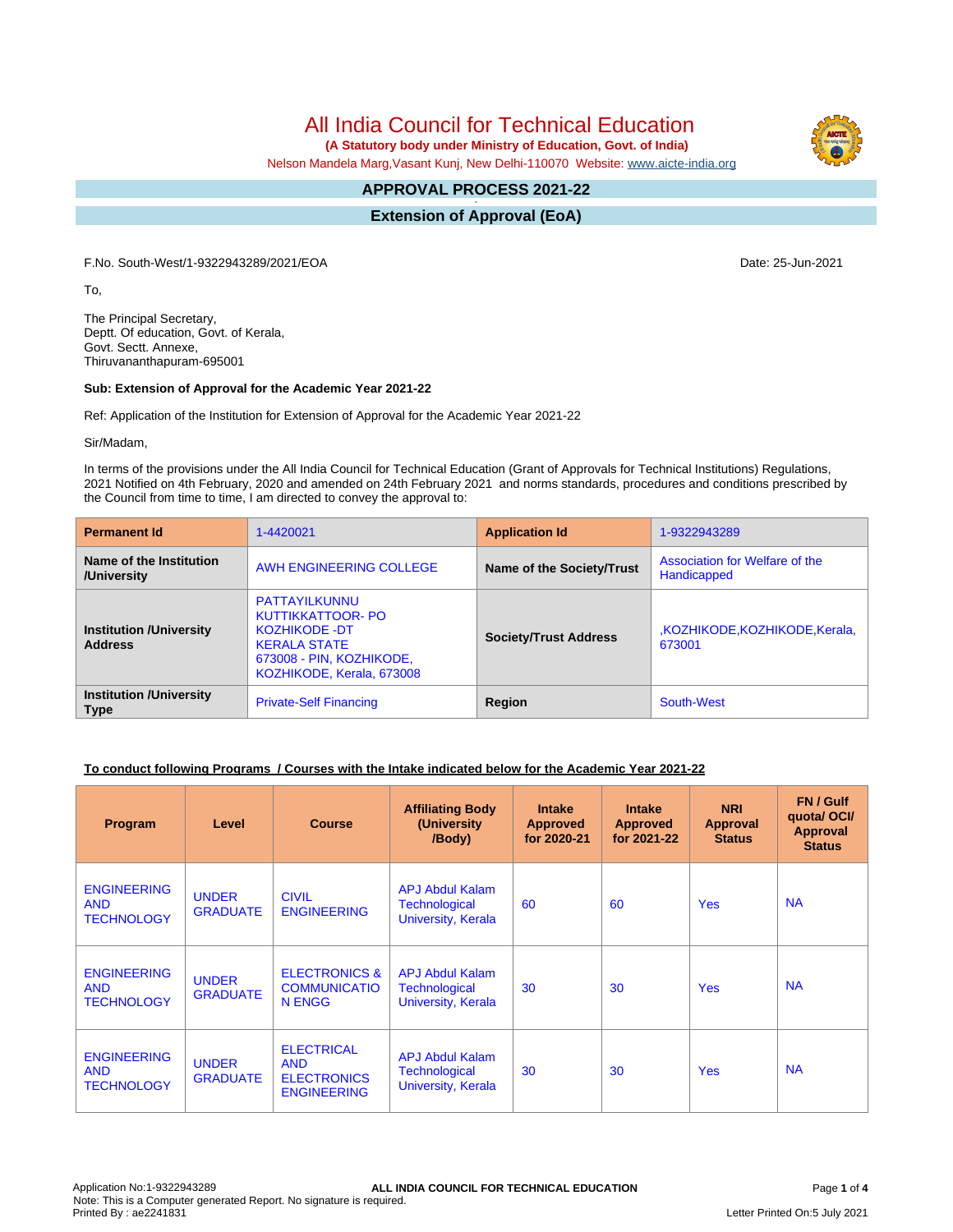All India Council for Technical Education

 **(A Statutory body under Ministry of Education, Govt. of India)**

Nelson Mandela Marg,Vasant Kunj, New Delhi-110070 Website: [www.aicte-india.org](http://www.aicte-india.org)

#### **APPROVAL PROCESS 2021-22 -**

**Extension of Approval (EoA)**

F.No. South-West/1-9322943289/2021/EOA Date: 25-Jun-2021

To,

The Principal Secretary, Deptt. Of education, Govt. of Kerala, Govt. Sectt. Annexe, Thiruvananthapuram-695001

### **Sub: Extension of Approval for the Academic Year 2021-22**

Ref: Application of the Institution for Extension of Approval for the Academic Year 2021-22

Sir/Madam,

In terms of the provisions under the All India Council for Technical Education (Grant of Approvals for Technical Institutions) Regulations, 2021 Notified on 4th February, 2020 and amended on 24th February 2021 and norms standards, procedures and conditions prescribed by the Council from time to time, I am directed to convey the approval to:

| <b>Permanent Id</b>                              | 1-4420021                                                                                                                                         | <b>Application Id</b>        | 1-9322943289                                  |  |
|--------------------------------------------------|---------------------------------------------------------------------------------------------------------------------------------------------------|------------------------------|-----------------------------------------------|--|
| Name of the Institution<br>/University           | AWH ENGINEERING COLLEGE                                                                                                                           | Name of the Society/Trust    | Association for Welfare of the<br>Handicapped |  |
| <b>Institution /University</b><br><b>Address</b> | PATTAYILKUNNU<br><b>KUTTIKKATTOOR- PO</b><br><b>KOZHIKODE -DT</b><br><b>KERALA STATE</b><br>673008 - PIN, KOZHIKODE,<br>KOZHIKODE, Kerala, 673008 | <b>Society/Trust Address</b> | ,KOZHIKODE,KOZHIKODE,Kerala,<br>673001        |  |
| <b>Institution /University</b><br><b>Type</b>    | <b>Private-Self Financing</b>                                                                                                                     | Region                       | South-West                                    |  |

# **To conduct following Programs / Courses with the Intake indicated below for the Academic Year 2021-22**

| Program                                               | Level                           | <b>Course</b>                                                               | <b>Affiliating Body</b><br>(University<br>/Body)                     | <b>Intake</b><br><b>Approved</b><br>for 2020-21 | <b>Intake</b><br><b>Approved</b><br>for 2021-22 | <b>NRI</b><br>Approval<br><b>Status</b> | FN / Gulf<br>quotal OCI/<br><b>Approval</b><br><b>Status</b> |
|-------------------------------------------------------|---------------------------------|-----------------------------------------------------------------------------|----------------------------------------------------------------------|-------------------------------------------------|-------------------------------------------------|-----------------------------------------|--------------------------------------------------------------|
| <b>ENGINEERING</b><br><b>AND</b><br><b>TECHNOLOGY</b> | <b>UNDER</b><br><b>GRADUATE</b> | <b>CIVIL</b><br><b>ENGINEERING</b>                                          | <b>APJ Abdul Kalam</b><br><b>Technological</b><br>University, Kerala | 60                                              | 60                                              | <b>Yes</b>                              | <b>NA</b>                                                    |
| <b>ENGINEERING</b><br><b>AND</b><br><b>TECHNOLOGY</b> | <b>UNDER</b><br><b>GRADUATE</b> | <b>ELECTRONICS &amp;</b><br><b>COMMUNICATIO</b><br>N ENGG                   | <b>APJ Abdul Kalam</b><br><b>Technological</b><br>University, Kerala | 30                                              | 30                                              | <b>Yes</b>                              | <b>NA</b>                                                    |
| <b>ENGINEERING</b><br><b>AND</b><br><b>TECHNOLOGY</b> | <b>UNDER</b><br><b>GRADUATE</b> | <b>ELECTRICAL</b><br><b>AND</b><br><b>ELECTRONICS</b><br><b>ENGINEERING</b> | <b>APJ Abdul Kalam</b><br><b>Technological</b><br>University, Kerala | 30                                              | 30                                              | <b>Yes</b>                              | <b>NA</b>                                                    |

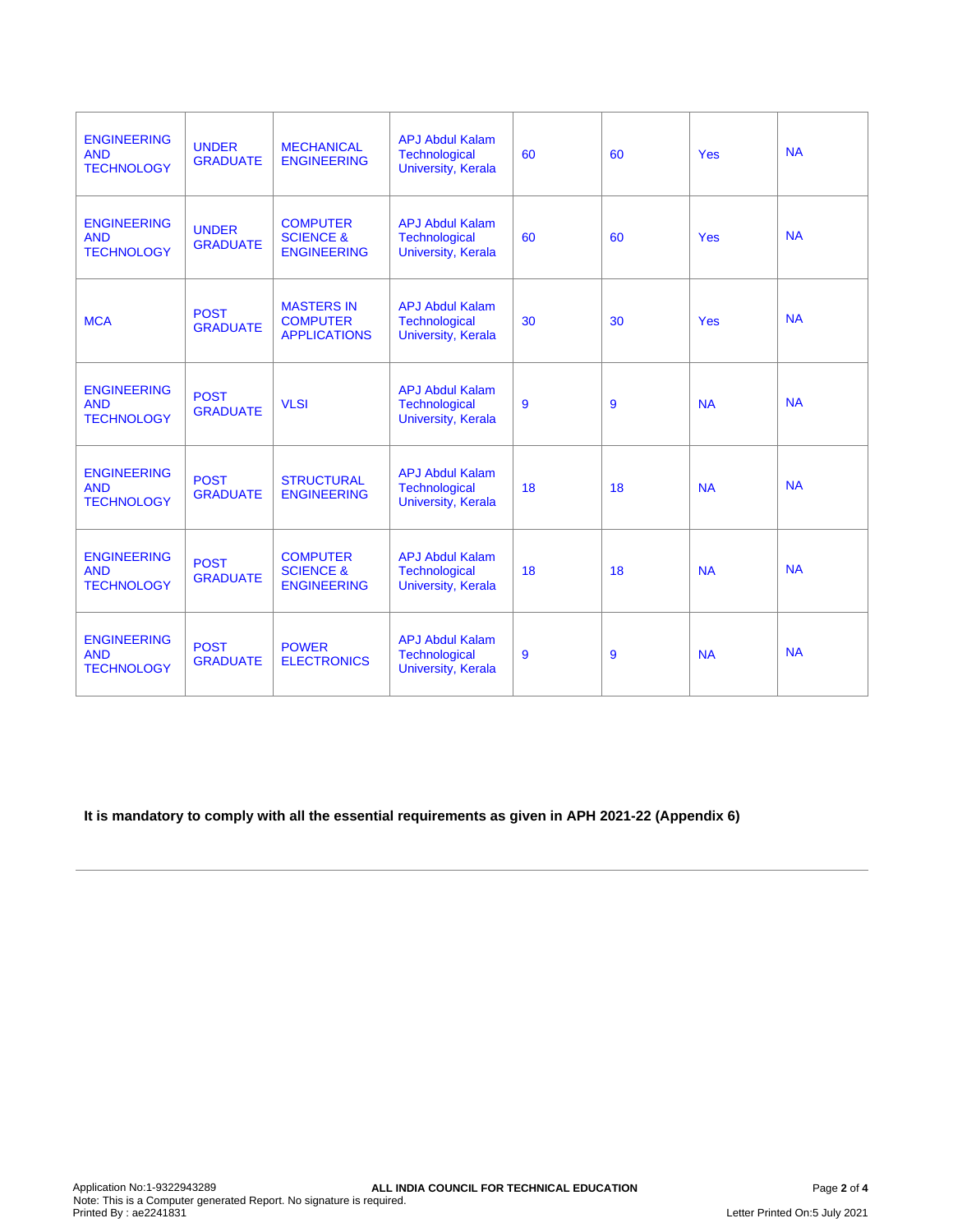| <b>ENGINEERING</b><br><b>AND</b><br><b>TECHNOLOGY</b> | <b>UNDER</b><br><b>GRADUATE</b> | <b>MECHANICAL</b><br><b>ENGINEERING</b>                       | <b>APJ Abdul Kalam</b><br><b>Technological</b><br>University, Kerala | 60 | 60 | <b>Yes</b> | <b>NA</b> |
|-------------------------------------------------------|---------------------------------|---------------------------------------------------------------|----------------------------------------------------------------------|----|----|------------|-----------|
| <b>ENGINEERING</b><br><b>AND</b><br><b>TECHNOLOGY</b> | <b>UNDER</b><br><b>GRADUATE</b> | <b>COMPUTER</b><br><b>SCIENCE &amp;</b><br><b>ENGINEERING</b> | <b>APJ Abdul Kalam</b><br>Technological<br>University, Kerala        | 60 | 60 | <b>Yes</b> | <b>NA</b> |
| <b>MCA</b>                                            | <b>POST</b><br><b>GRADUATE</b>  | <b>MASTERS IN</b><br><b>COMPUTER</b><br><b>APPLICATIONS</b>   | <b>APJ Abdul Kalam</b><br>Technological<br>University, Kerala        | 30 | 30 | <b>Yes</b> | <b>NA</b> |
| <b>ENGINEERING</b><br><b>AND</b><br><b>TECHNOLOGY</b> | <b>POST</b><br><b>GRADUATE</b>  | <b>VLSI</b>                                                   | <b>APJ Abdul Kalam</b><br>Technological<br><b>University, Kerala</b> | 9  | 9  | <b>NA</b>  | <b>NA</b> |
| <b>ENGINEERING</b><br><b>AND</b><br><b>TECHNOLOGY</b> | <b>POST</b><br><b>GRADUATE</b>  | <b>STRUCTURAL</b><br><b>ENGINEERING</b>                       | <b>APJ Abdul Kalam</b><br>Technological<br>University, Kerala        | 18 | 18 | <b>NA</b>  | <b>NA</b> |
| <b>ENGINEERING</b><br><b>AND</b><br><b>TECHNOLOGY</b> | <b>POST</b><br><b>GRADUATE</b>  | <b>COMPUTER</b><br><b>SCIENCE &amp;</b><br><b>ENGINEERING</b> | <b>APJ Abdul Kalam</b><br>Technological<br><b>University, Kerala</b> | 18 | 18 | <b>NA</b>  | <b>NA</b> |
| <b>ENGINEERING</b><br><b>AND</b><br><b>TECHNOLOGY</b> | <b>POST</b><br><b>GRADUATE</b>  | <b>POWER</b><br><b>ELECTRONICS</b>                            | <b>APJ Abdul Kalam</b><br>Technological<br>University, Kerala        | 9  | 9  | <b>NA</b>  | <b>NA</b> |

**It is mandatory to comply with all the essential requirements as given in APH 2021-22 (Appendix 6)**